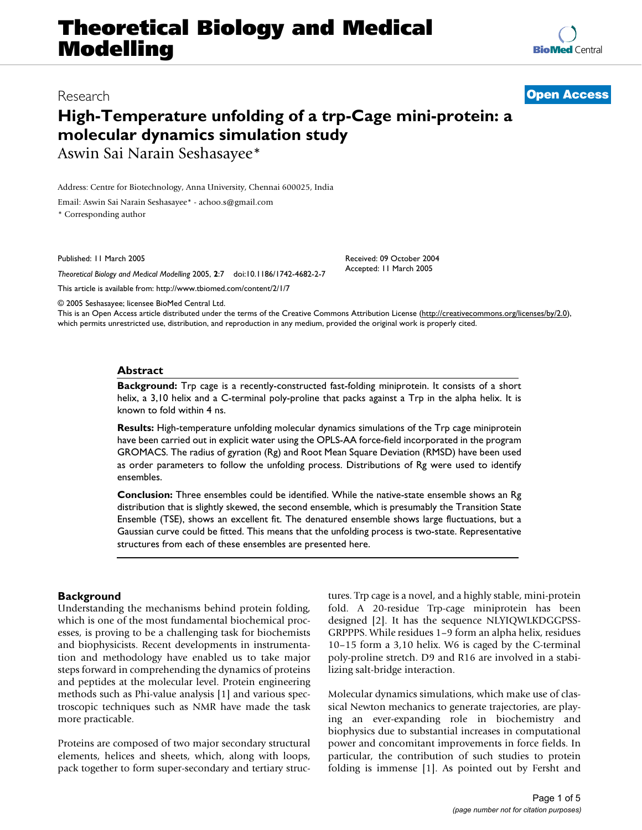# **Theoretical Biology and Medical Modelling**

# Research **[Open Access](http://www.biomedcentral.com/info/about/charter/)**

# **High-Temperature unfolding of a trp-Cage mini-protein: a molecular dynamics simulation study** Aswin Sai Narain Seshasayee\*

Address: Centre for Biotechnology, Anna University, Chennai 600025, India

Email: Aswin Sai Narain Seshasayee\* - achoo.s@gmail.com

\* Corresponding author

Published: 11 March 2005

*Theoretical Biology and Medical Modelling* 2005, **2**:7 doi:10.1186/1742-4682-2-7

[This article is available from: http://www.tbiomed.com/content/2/1/7](http://www.tbiomed.com/content/2/1/7)

© 2005 Seshasayee; licensee BioMed Central Ltd.

This is an Open Access article distributed under the terms of the Creative Commons Attribution License [\(http://creativecommons.org/licenses/by/2.0\)](http://creativecommons.org/licenses/by/2.0), which permits unrestricted use, distribution, and reproduction in any medium, provided the original work is properly cited.

#### **Abstract**

**Background:** Trp cage is a recently-constructed fast-folding miniprotein. It consists of a short helix, a 3,10 helix and a C-terminal poly-proline that packs against a Trp in the alpha helix. It is known to fold within 4 ns.

**Results:** High-temperature unfolding molecular dynamics simulations of the Trp cage miniprotein have been carried out in explicit water using the OPLS-AA force-field incorporated in the program GROMACS. The radius of gyration (Rg) and Root Mean Square Deviation (RMSD) have been used as order parameters to follow the unfolding process. Distributions of Rg were used to identify ensembles.

**Conclusion:** Three ensembles could be identified. While the native-state ensemble shows an Rg distribution that is slightly skewed, the second ensemble, which is presumably the Transition State Ensemble (TSE), shows an excellent fit. The denatured ensemble shows large fluctuations, but a Gaussian curve could be fitted. This means that the unfolding process is two-state. Representative structures from each of these ensembles are presented here.

# **Background**

Understanding the mechanisms behind protein folding, which is one of the most fundamental biochemical processes, is proving to be a challenging task for biochemists and biophysicists. Recent developments in instrumentation and methodology have enabled us to take major steps forward in comprehending the dynamics of proteins and peptides at the molecular level. Protein engineering methods such as Phi-value analysis [1] and various spectroscopic techniques such as NMR have made the task more practicable.

Proteins are composed of two major secondary structural elements, helices and sheets, which, along with loops, pack together to form super-secondary and tertiary structures. Trp cage is a novel, and a highly stable, mini-protein fold. A 20-residue Trp-cage miniprotein has been designed [2]. It has the sequence NLYIQWLKDGGPSS-GRPPPS. While residues 1–9 form an alpha helix, residues 10–15 form a 3,10 helix. W6 is caged by the C-terminal poly-proline stretch. D9 and R16 are involved in a stabilizing salt-bridge interaction.

Molecular dynamics simulations, which make use of classical Newton mechanics to generate trajectories, are playing an ever-expanding role in biochemistry and biophysics due to substantial increases in computational power and concomitant improvements in force fields. In particular, the contribution of such studies to protein folding is immense [1]. As pointed out by Fersht and



Accepted: 11 March 2005

Received: 09 October 2004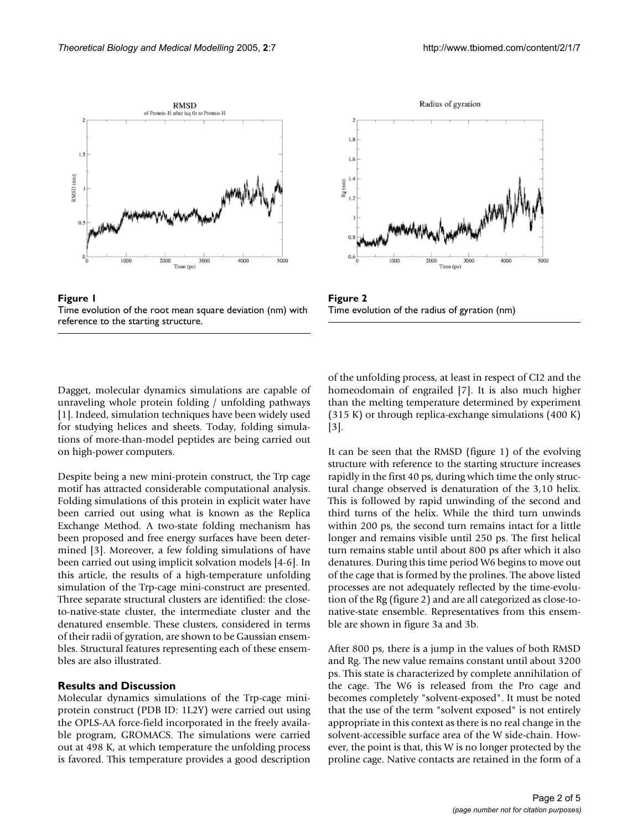



Figure 1 Time evolution of the root mean square deviation (nm) with reference to the starting structure.

Figure 2 Time evolution of the radius of gyration (nm)

Dagget, molecular dynamics simulations are capable of unraveling whole protein folding / unfolding pathways [1]. Indeed, simulation techniques have been widely used for studying helices and sheets. Today, folding simulations of more-than-model peptides are being carried out on high-power computers.

Despite being a new mini-protein construct, the Trp cage motif has attracted considerable computational analysis. Folding simulations of this protein in explicit water have been carried out using what is known as the Replica Exchange Method. A two-state folding mechanism has been proposed and free energy surfaces have been determined [3]. Moreover, a few folding simulations of have been carried out using implicit solvation models [4-6]. In this article, the results of a high-temperature unfolding simulation of the Trp-cage mini-construct are presented. Three separate structural clusters are identified: the closeto-native-state cluster, the intermediate cluster and the denatured ensemble. These clusters, considered in terms of their radii of gyration, are shown to be Gaussian ensembles. Structural features representing each of these ensembles are also illustrated.

### **Results and Discussion**

Molecular dynamics simulations of the Trp-cage miniprotein construct (PDB ID: 1L2Y) were carried out using the OPLS-AA force-field incorporated in the freely available program, GROMACS. The simulations were carried out at 498 K, at which temperature the unfolding process is favored. This temperature provides a good description

of the unfolding process, at least in respect of CI2 and the homeodomain of engrailed [7]. It is also much higher than the melting temperature determined by experiment (315 K) or through replica-exchange simulations (400 K) [3].

It can be seen that the RMSD (figure 1) of the evolving structure with reference to the starting structure increases rapidly in the first 40 ps, during which time the only structural change observed is denaturation of the 3,10 helix. This is followed by rapid unwinding of the second and third turns of the helix. While the third turn unwinds within 200 ps, the second turn remains intact for a little longer and remains visible until 250 ps. The first helical turn remains stable until about 800 ps after which it also denatures. During this time period W6 begins to move out of the cage that is formed by the prolines. The above listed processes are not adequately reflected by the time-evolution of the Rg (figure 2) and are all categorized as close-tonative-state ensemble. Representatives from this ensemble are shown in figure 3a and 3b.

After 800 ps, there is a jump in the values of both RMSD and Rg. The new value remains constant until about 3200 ps. This state is characterized by complete annihilation of the cage. The W6 is released from the Pro cage and becomes completely "solvent-exposed". It must be noted that the use of the term "solvent exposed" is not entirely appropriate in this context as there is no real change in the solvent-accessible surface area of the W side-chain. However, the point is that, this W is no longer protected by the proline cage. Native contacts are retained in the form of a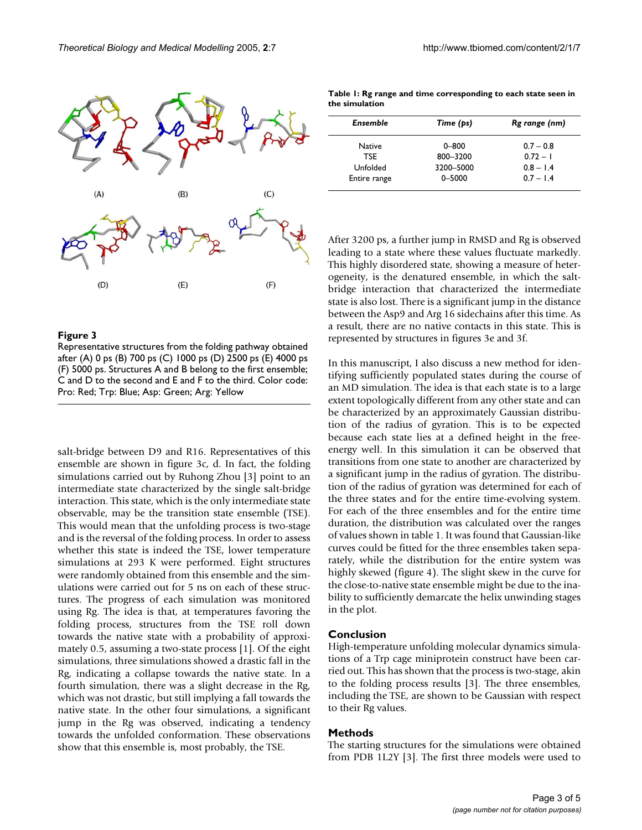

 $(C)$ 

 $(F)$ 



After 3200 ps, a further jump in RMSD and Rg is observed leading to a state where these values fluctuate markedly. This highly disordered state, showing a measure of heterogeneity, is the denatured ensemble, in which the saltbridge interaction that characterized the intermediate state is also lost. There is a significant jump in the distance between the Asp9 and Arg 16 sidechains after this time. As a result, there are no native contacts in this state. This is represented by structures in figures 3e and 3f.

In this manuscript, I also discuss a new method for identifying sufficiently populated states during the course of an MD simulation. The idea is that each state is to a large extent topologically different from any other state and can be characterized by an approximately Gaussian distribution of the radius of gyration. This is to be expected because each state lies at a defined height in the freeenergy well. In this simulation it can be observed that transitions from one state to another are characterized by a significant jump in the radius of gyration. The distribution of the radius of gyration was determined for each of the three states and for the entire time-evolving system. For each of the three ensembles and for the entire time duration, the distribution was calculated over the ranges of values shown in table 1. It was found that Gaussian-like curves could be fitted for the three ensembles taken separately, while the distribution for the entire system was highly skewed (figure 4). The slight skew in the curve for the close-to-native state ensemble might be due to the inability to sufficiently demarcate the helix unwinding stages in the plot.

#### **Conclusion**

High-temperature unfolding molecular dynamics simulations of a Trp cage miniprotein construct have been carried out. This has shown that the process is two-stage, akin to the folding process results [3]. The three ensembles, including the TSE, are shown to be Gaussian with respect to their Rg values.

#### **Methods**

The starting structures for the simulations were obtained from PDB 1L2Y [3]. The first three models were used to

## Figure 3

 $(\mathbf{A})$ 

 $(D)$ 

Representative structures from the folding pathway obtained after (A) 0 ps (B) 700 ps (C) 1000 ps (D) 2500 ps (E) 4000 ps (F) 5000 ps. Structures A and B belong to the first ensemble; C and D to the second and E and F to the third. Color code: Pro: Red; Trp: Blue; Asp: Green; Arg: Yellow

 $(E)$ 

 $(R)$ 

salt-bridge between D9 and R16. Representatives of this ensemble are shown in figure 3c, d. In fact, the folding simulations carried out by Ruhong Zhou [3] point to an intermediate state characterized by the single salt-bridge interaction. This state, which is the only intermediate state observable, may be the transition state ensemble (TSE). This would mean that the unfolding process is two-stage and is the reversal of the folding process. In order to assess whether this state is indeed the TSE, lower temperature simulations at 293 K were performed. Eight structures were randomly obtained from this ensemble and the simulations were carried out for 5 ns on each of these structures. The progress of each simulation was monitored using Rg. The idea is that, at temperatures favoring the folding process, structures from the TSE roll down towards the native state with a probability of approximately 0.5, assuming a two-state process [1]. Of the eight simulations, three simulations showed a drastic fall in the Rg, indicating a collapse towards the native state. In a fourth simulation, there was a slight decrease in the Rg, which was not drastic, but still implying a fall towards the native state. In the other four simulations, a significant jump in the Rg was observed, indicating a tendency towards the unfolded conformation. These observations show that this ensemble is, most probably, the TSE.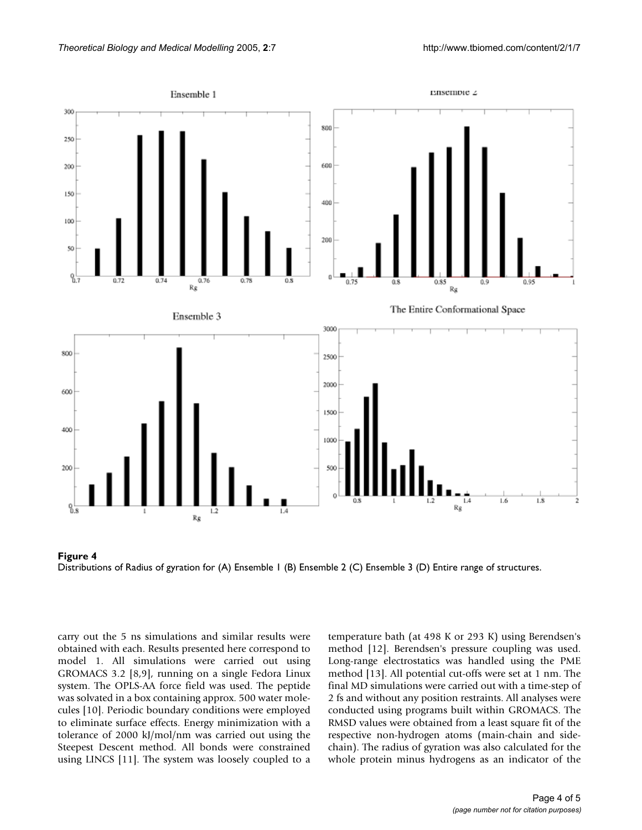



carry out the 5 ns simulations and similar results were obtained with each. Results presented here correspond to model 1. All simulations were carried out using GROMACS 3.2 [8,9], running on a single Fedora Linux system. The OPLS-AA force field was used. The peptide was solvated in a box containing approx. 500 water molecules [10]. Periodic boundary conditions were employed to eliminate surface effects. Energy minimization with a tolerance of 2000 kJ/mol/nm was carried out using the Steepest Descent method. All bonds were constrained using LINCS [11]. The system was loosely coupled to a

temperature bath (at 498 K or 293 K) using Berendsen's method [12]. Berendsen's pressure coupling was used. Long-range electrostatics was handled using the PME method [13]. All potential cut-offs were set at 1 nm. The final MD simulations were carried out with a time-step of 2 fs and without any position restraints. All analyses were conducted using programs built within GROMACS. The RMSD values were obtained from a least square fit of the respective non-hydrogen atoms (main-chain and sidechain). The radius of gyration was also calculated for the whole protein minus hydrogens as an indicator of the